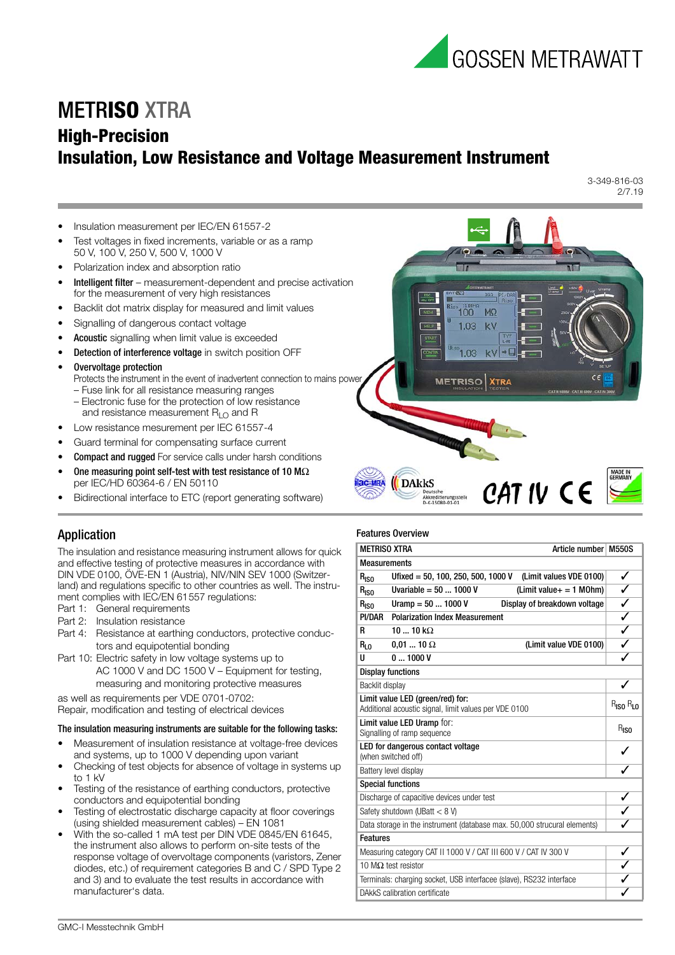

100

1.03 kV

1.03  $k\lambda$ 

**METRISO** 

 $M\Omega$ 

**XTRA** 

CAT IV CE

σT.

**HELP** 

# METR**ISO** XTRA

# **High-Precision Insulation, Low Resistance and Voltage Measurement Instrument**

3-349-816-03 2/7.19

- Insulation measurement per IEC/EN 61557-2
- Test voltages in fixed increments, variable or as a ramp 50 V, 100 V, 250 V, 500 V, 1000 V
- Polarization index and absorption ratio
- Intelligent filter measurement-dependent and precise activation for the measurement of very high resistances
- Backlit dot matrix display for measured and limit values
- Signalling of dangerous contact voltage
- Acoustic signalling when limit value is exceeded
- Detection of interference voltage in switch position OFF
- Overvoltage protection
	- Protects the instrument in the event of inadvertent connection to mains power – Fuse link for all resistance measuring ranges
	- Electronic fuse for the protection of low resistance and resistance measurement  $R_{LO}$  and R
- Low resistance mesurement per IEC 61557-4
- Guard terminal for compensating surface current
- Compact and rugged For service calls under harsh conditions
- One measuring point self-test with test resistance of 10 M $\Omega$ per IEC/HD 60364-6 / EN 50110
- Bidirectional interface to ETC (report generating software)



The insulation and resistance measuring instrument allows for quick and effective testing of protective measures in accordance with DIN VDE 0100, ÖVE-EN 1 (Austria), NIV/NIN SEV 1000 (Switzerland) and regulations specific to other countries as well. The instrument complies with IEC/EN 61557 regulations:

- Part 1: General requirements
- Part 2: Insulation resistance
- Part 4: Resistance at earthing conductors, protective conductors and equipotential bonding
- Part 10: Electric safety in low voltage systems up to AC 1000 V and DC 1500 V – Equipment for testing, measuring and monitoring protective measures

as well as requirements per VDE 0701-0702:

Repair, modification and testing of electrical devices

#### The insulation measuring instruments are suitable for the following tasks:

- Measurement of insulation resistance at voltage-free devices and systems, up to 1000 V depending upon variant
- Checking of test objects for absence of voltage in systems up to 1 kV
- Testing of the resistance of earthing conductors, protective conductors and equipotential bonding
- Testing of electrostatic discharge capacity at floor coverings (using shielded measurement cables) – EN 1081
- With the so-called 1 mA test per DIN VDE 0845/EN 61645, the instrument also allows to perform on-site tests of the response voltage of overvoltage components (varistors, Zener diodes, etc.) of requirement categories B and C / SPD Type 2 and 3) and to evaluate the test results in accordance with manufacturer's data.

#### Features Overview

**DAkkS** 

 $20 - M<sub>D</sub>$ 

| <b>METRISO XTRA</b>                                                                                                           | Article number M550S                                                |   |  |  |  |
|-------------------------------------------------------------------------------------------------------------------------------|---------------------------------------------------------------------|---|--|--|--|
| <b>Measurements</b>                                                                                                           |                                                                     |   |  |  |  |
| $R_{ISO}$                                                                                                                     | Ufixed = 50, 100, 250, 500, 1000 V<br>(Limit values VDE 0100)       | ✓ |  |  |  |
| $R_{ISO}$                                                                                                                     | Uvariable = $501000V$<br>$(Limit value += 1 MOhm)$                  | ✓ |  |  |  |
| $R_{ISO}$                                                                                                                     | Uramp = $501000V$<br>Display of breakdown voltage                   | ✓ |  |  |  |
| PI/DAR                                                                                                                        | <b>Polarization Index Measurement</b>                               | ✓ |  |  |  |
| R                                                                                                                             | $1010 k\Omega$                                                      | ✓ |  |  |  |
| $R_{L0}$                                                                                                                      | $0.01$ 10 $\Omega$<br>(Limit value VDE 0100)                        |   |  |  |  |
| U                                                                                                                             | 01000V                                                              |   |  |  |  |
|                                                                                                                               | <b>Display functions</b>                                            |   |  |  |  |
| Backlit display                                                                                                               |                                                                     |   |  |  |  |
| Limit value LED (green/red) for:<br>R <sub>ISO</sub> R <sub>LO</sub><br>Additional acoustic signal, limit values per VDE 0100 |                                                                     |   |  |  |  |
| Limit value LED Uramp for:<br>$R_{ISO}$<br>Signalling of ramp sequence                                                        |                                                                     |   |  |  |  |
| LED for dangerous contact voltage<br>(when switched off)                                                                      |                                                                     |   |  |  |  |
| Battery level display                                                                                                         |                                                                     |   |  |  |  |
|                                                                                                                               | <b>Special functions</b>                                            |   |  |  |  |
|                                                                                                                               | Discharge of capacitive devices under test                          |   |  |  |  |
|                                                                                                                               | Safety shutdown (UBatt $<$ 8 V)                                     |   |  |  |  |
| Data storage in the instrument (database max. 50,000 strucural elements)                                                      |                                                                     |   |  |  |  |
| <b>Features</b>                                                                                                               |                                                                     |   |  |  |  |
|                                                                                                                               | Measuring category CAT II 1000 V / CAT III 600 V / CAT IV 300 V     |   |  |  |  |
|                                                                                                                               | 10 M $\Omega$ test resistor                                         |   |  |  |  |
|                                                                                                                               | Terminals: charging socket, USB interfacee (slave), RS232 interface |   |  |  |  |
| DAkkS calibration certificate                                                                                                 |                                                                     |   |  |  |  |
|                                                                                                                               |                                                                     |   |  |  |  |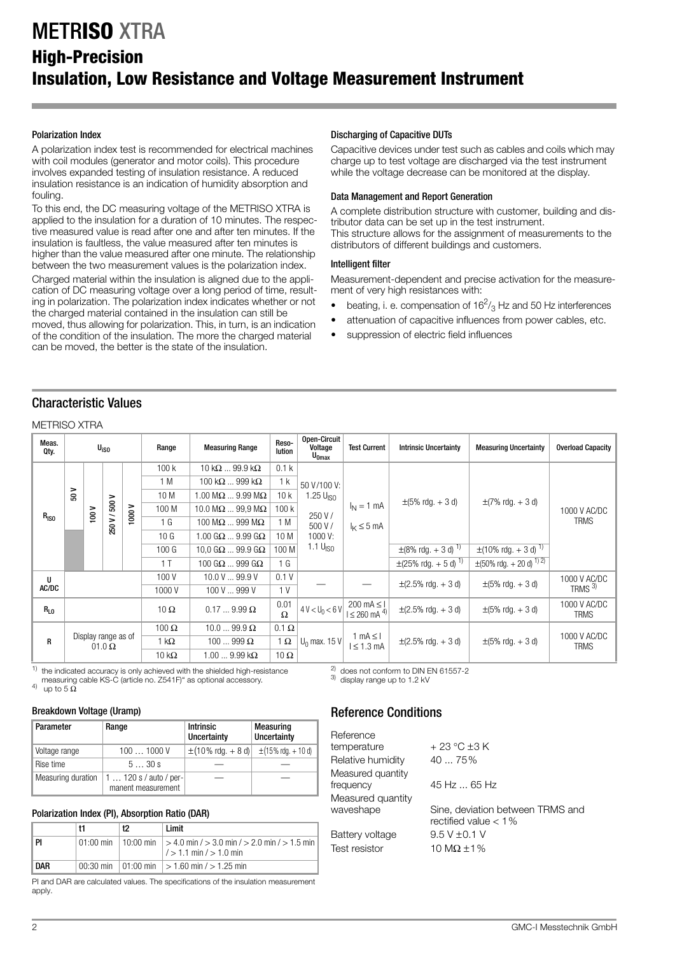# METR**ISO** XTRA **High-Precision Insulation, Low Resistance and Voltage Measurement Instrument**

### Polarization Index

A polarization index test is recommended for electrical machines with coil modules (generator and motor coils). This procedure involves expanded testing of insulation resistance. A reduced insulation resistance is an indication of humidity absorption and fouling.

To this end, the DC measuring voltage of the METRISO XTRA is applied to the insulation for a duration of 10 minutes. The respective measured value is read after one and after ten minutes. If the insulation is faultless, the value measured after ten minutes is higher than the value measured after one minute. The relationship between the two measurement values is the polarization index.

Charged material within the insulation is aligned due to the application of DC measuring voltage over a long period of time, resulting in polarization. The polarization index indicates whether or not the charged material contained in the insulation can still be moved, thus allowing for polarization. This, in turn, is an indication of the condition of the insulation. The more the charged material can be moved, the better is the state of the insulation.

### Discharging of Capacitive DUTs

Capacitive devices under test such as cables and coils which may charge up to test voltage are discharged via the test instrument while the voltage decrease can be monitored at the display.

### Data Management and Report Generation

A complete distribution structure with customer, building and distributor data can be set up in the test instrument. This structure allows for the assignment of measurements to the

distributors of different buildings and customers.

#### Intelligent filter

Measurement-dependent and precise activation for the measurement of very high resistances with:

- beating, i. e. compensation of  $16^2$ /<sub>3</sub> Hz and 50 Hz interferences
- attenuation of capacitive influences from power cables, etc.
- suppression of electric field influences

# Characteristic Values

### METRISO XTRA

| Meas.<br>Qty. |      | U <sub>iso</sub>                      |               |                   | Range                 | <b>Measuring Range</b>          | Reso-<br>lution                                   | Open-Circuit<br>Voltage<br>$U_{0max}$    | <b>Test Current</b>                   | <b>Intrinsic Uncertainty</b>             | <b>Measuring Uncertainty</b>                   | <b>Overload Capacity</b>             |             |  |  |                 |                                 |      |         |  |  |  |  |
|---------------|------|---------------------------------------|---------------|-------------------|-----------------------|---------------------------------|---------------------------------------------------|------------------------------------------|---------------------------------------|------------------------------------------|------------------------------------------------|--------------------------------------|-------------|--|--|-----------------|---------------------------------|------|---------|--|--|--|--|
|               |      |                                       |               |                   | 100k                  | 10 k $\Omega$ 99.9 k $\Omega$   | 0.1 <sub>k</sub>                                  |                                          |                                       |                                          |                                                |                                      |             |  |  |                 |                                 |      |         |  |  |  |  |
|               |      |                                       |               |                   |                       | 1 M                             | 100 k $\Omega$ 999 k $\Omega$                     | 1 k                                      | 50 V/100 V:                           |                                          |                                                |                                      |             |  |  |                 |                                 |      |         |  |  |  |  |
|               | 50 V |                                       |               |                   | 10 M                  | 1.00 M $\Omega$ 9.99 M $\Omega$ | 10k                                               | 1.25 U <sub>ISO</sub>                    |                                       | $\pm (5\% \text{ rdg.} + 3 \text{ d})$   | $\pm$ (7% rdg. + 3 d)                          | 1000 V AC/DC                         |             |  |  |                 |                                 |      |         |  |  |  |  |
|               |      | $\frac{100 \text{ V}}{100 \text{ V}}$ | 250 V / 500 V | 1000V             | 100 M                 | 10.0 M $\Omega$ 99.9 M $\Omega$ | 100 k                                             | 250 V /                                  | $I_N = 1$ mA                          |                                          |                                                |                                      |             |  |  |                 |                                 |      |         |  |  |  |  |
| $R_{\rm ISO}$ |      |                                       |               |                   |                       | 1 <sub>G</sub>                  | 100 M $\Omega$ 999 M $\Omega$                     | 1 M                                      | 500 V /                               | $I_{\rm K} \leq 5$ mA                    |                                                |                                      | <b>TRMS</b> |  |  |                 |                                 |      |         |  |  |  |  |
|               |      |                                       |               |                   |                       |                                 |                                                   |                                          |                                       |                                          |                                                |                                      |             |  |  | 10 <sub>G</sub> | 1.00 G $\Omega$ 9.99 G $\Omega$ | 10 M | 1000 V: |  |  |  |  |
|               |      |                                       |               |                   |                       | 100 <sub>G</sub>                | 10.0 G $\Omega$ 99.9 G $\Omega$                   | 100 M                                    | 1.1 $UISO$                            |                                          | $\pm$ (8% rdg. + 3 d) <sup>1)</sup>            | $\pm$ (10% rdg. + 3 d) <sup>1)</sup> |             |  |  |                 |                                 |      |         |  |  |  |  |
|               |      |                                       |               |                   | 1T                    | 100 G $\Omega$ 999 G $\Omega$   | 1 G                                               |                                          |                                       | $\pm$ (25% rdg. + 5 d) <sup>1)</sup>     | $\pm (50\% \text{ rdg.} + 20 \text{ d})^{1/2}$ |                                      |             |  |  |                 |                                 |      |         |  |  |  |  |
| U             |      |                                       | 100V          | 10.0 V  99.9 V    | 0.1V                  |                                 |                                                   | $\pm (2.5\% \text{ rdg.} + 3 \text{ d})$ | $\pm(5\% \text{ rdq.} + 3 \text{ d})$ | 1000 V AC/DC                             |                                                |                                      |             |  |  |                 |                                 |      |         |  |  |  |  |
| AC/DC         |      |                                       |               |                   | 1000V                 | 100 V  999 V                    | 1 <sup>V</sup>                                    |                                          |                                       |                                          |                                                | TRMS <sup>3)</sup>                   |             |  |  |                 |                                 |      |         |  |  |  |  |
| $R_{L0}$      |      |                                       | $10 \Omega$   | $0.179.99 \Omega$ | 0.01<br>$\Omega$      | $4 V < U_0 < 6 V$               | $200 \text{ mA} \leq 1$<br>$1 \le 260$ mA $^{4)}$ | $\pm (2.5\% \text{ rdg.} + 3 \text{ d})$ | $\pm(5\% \text{ rdq.} + 3 \text{ d})$ | 1000 V AC/DC<br><b>TRMS</b>              |                                                |                                      |             |  |  |                 |                                 |      |         |  |  |  |  |
|               |      | Display range as of<br>$01.0 \Omega$  |               | 100 $\Omega$      | $10.099.9 \Omega$     | $0.1 \Omega$                    |                                                   |                                          |                                       |                                          |                                                |                                      |             |  |  |                 |                                 |      |         |  |  |  |  |
| $\mathsf{R}$  |      |                                       |               |                   | 1 kΩ                  | $100999 \Omega$                 | 1 $\Omega$                                        | $U_0$ max. 15 V                          | 1 mA $\leq$ I<br>$l \leq 1.3$ mA      | $\pm (2.5\% \text{ rdg.} + 3 \text{ d})$ | $\pm (5\% \text{ rdg.} + 3 \text{ d})$         | 1000 V AC/DC<br><b>TRMS</b>          |             |  |  |                 |                                 |      |         |  |  |  |  |
|               |      |                                       |               | 10 k $\Omega$     | 1.00  9.99 k $\Omega$ | 10 $\Omega$                     |                                                   |                                          |                                       |                                          |                                                |                                      |             |  |  |                 |                                 |      |         |  |  |  |  |

the indicated accuracy is only achieved with the shielded high-resistance measuring cable KS-C (article no. Z541F)" as optional accessory.  $^{3}$  display range up to 1.2 kV up to 5 Ω

#### Breakdown Voltage (Uramp)

| Parameter          | Range                                   | <b>Intrinsic</b><br>Uncertainty        | <b>Measuring</b><br>Uncertainty         |  |
|--------------------|-----------------------------------------|----------------------------------------|-----------------------------------------|--|
| Voltage range      | 1001000V                                | $\pm(10\% \text{ rdq.} + 8 \text{ d})$ | $\pm(15\% \text{ rdg.} + 10 \text{ d})$ |  |
| Rise time          | 530s                                    |                                        |                                         |  |
| Measuring duration | $1120s/auto/per-$<br>manent measurement |                                        |                                         |  |

### Polarization Index (PI), Absorption Ratio (DAR)

|      | 12 | Limit                                                                                                   |
|------|----|---------------------------------------------------------------------------------------------------------|
| l Pi |    | 01:00 min   10:00 min   > 4.0 min / > 3.0 min / > 2.0 min / > 1.5 min  <br>$1/$ > 1.1 min $/$ > 1.0 min |
| DAR  |    | 00:30 min   01:00 min   $>$ 1.60 min / $>$ 1.25 min                                                     |

PI and DAR are calculated values. The specifications of the insulation measurement apply.

# Reference Conditions

 $^{2)}$  does not conform to DIN EN 61557-2<br> $^{3)}$  display range up to 1.2 kV

| Reference                      |                                                             |
|--------------------------------|-------------------------------------------------------------|
| temperature                    | + 23 °C ±3 K                                                |
| Relative humidity              | $4075\%$                                                    |
| Measured quantity<br>frequency | 45 Hz  65 Hz                                                |
| Measured quantity              |                                                             |
| waveshape                      | Sine, deviation between TRMS and<br>rectified value $< 1\%$ |
| Battery voltage                | $9.5 V \pm 0.1 V$                                           |
| Test resistor                  | 10 M $\Omega$ ±1%                                           |
|                                |                                                             |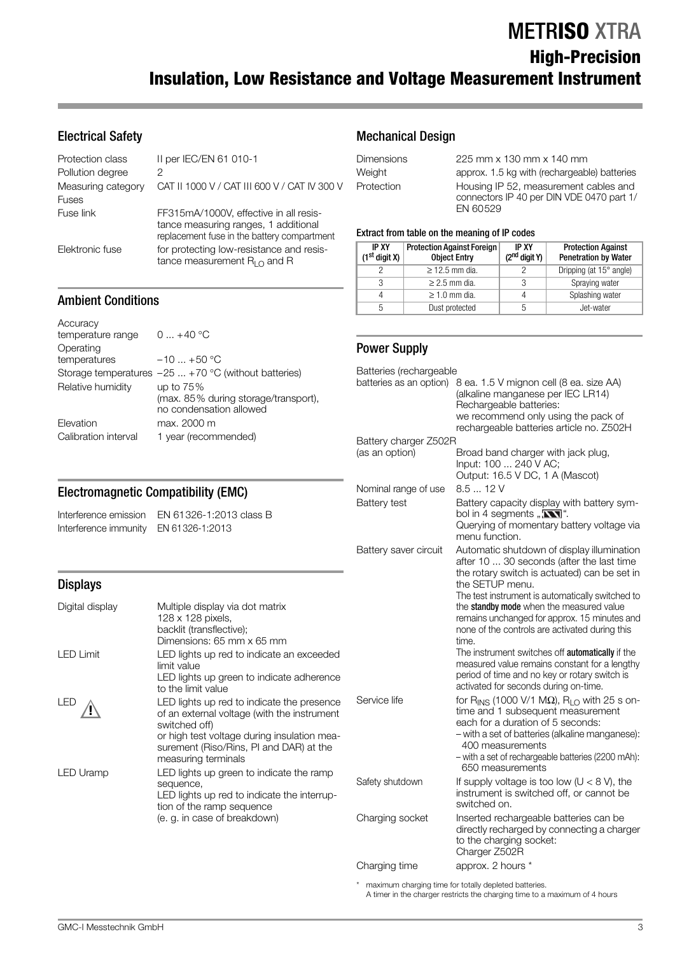# METR**ISO** XTRA

# **High-Precision Insulation, Low Resistance and Voltage Measurement Instrument**

# Electrical Safety

| Protection class   | II per IEC/EN 61 010-1                                                                                                        |
|--------------------|-------------------------------------------------------------------------------------------------------------------------------|
| Pollution degree   | 2                                                                                                                             |
| Measuring category | CAT II 1000 V / CAT III 600 V / CAT IV 300 V                                                                                  |
| <b>Fuses</b>       |                                                                                                                               |
| Fuse link          | FF315mA/1000V, effective in all resis-<br>tance measuring ranges, 1 additional<br>replacement fuse in the battery compartment |
| Elektronic fuse    | for protecting low-resistance and resis-<br>tance measurement $R_{I}$ and R                                                   |

Mechanical Design

| <b>Dimensions</b> | 225 mm x 130 mm x 140 mm                                                                       |
|-------------------|------------------------------------------------------------------------------------------------|
| Weight            | approx. 1.5 kg with (rechargeable) batteries                                                   |
| Protection        | Housing IP 52, measurement cables and<br>connectors IP 40 per DIN VDE 0470 part 1/<br>EN 60529 |

#### Extract from table on the meaning of IP codes

| <b>IP XY</b><br>$(1st$ digit X) | <b>Protection Against Foreign</b><br><b>Object Entry</b> |  | <b>Protection Against</b><br><b>Penetration by Water</b> |
|---------------------------------|----------------------------------------------------------|--|----------------------------------------------------------|
|                                 | $\geq$ 12.5 mm dia.                                      |  | Dripping (at 15° angle)                                  |
| 3                               | $\geq$ 2.5 mm dia.                                       |  | Spraying water                                           |
|                                 | $\geq 1.0$ mm dia.                                       |  | Splashing water                                          |
| 5                               | Dust protected                                           |  | Jet-water                                                |

# Power Supply

| . +0U °U<br>$. +70 °C$ (without batteries)<br>75%<br>85% during storage/transport),<br>ndensation allowed<br>2000 m<br>(recommended)                                                                                             | Batteries (rechargeable<br>batteries as an option)<br>Battery charger Z502R | 8 ea. 1.5 V mignon cell (8 ea. size AA)<br>(alkaline manganese per IEC LR14)<br>Rechargeable batteries:<br>we recommend only using the pack of<br>rechargeable batteries article no. Z502H                                                                                                                                                                                                                    |
|----------------------------------------------------------------------------------------------------------------------------------------------------------------------------------------------------------------------------------|-----------------------------------------------------------------------------|---------------------------------------------------------------------------------------------------------------------------------------------------------------------------------------------------------------------------------------------------------------------------------------------------------------------------------------------------------------------------------------------------------------|
|                                                                                                                                                                                                                                  | (as an option)                                                              | Broad band charger with jack plug,<br>Input: 100  240 V AC;<br>Output: 16.5 V DC, 1 A (Mascot)                                                                                                                                                                                                                                                                                                                |
| libility (EMC)                                                                                                                                                                                                                   | Nominal range of use<br><b>Battery test</b>                                 | 8.512V<br>Battery capacity display with battery sym-                                                                                                                                                                                                                                                                                                                                                          |
| 326-1:2013 class B<br>326-1:2013                                                                                                                                                                                                 |                                                                             | bol in 4 segments " $\mathbf{N}$ ".<br>Querying of momentary battery voltage via<br>menu function.                                                                                                                                                                                                                                                                                                            |
|                                                                                                                                                                                                                                  | Battery saver circuit                                                       | Automatic shutdown of display illumination<br>after 10  30 seconds (after the last time<br>the rotary switch is actuated) can be set in<br>the SETUP menu.                                                                                                                                                                                                                                                    |
| le display via dot matrix<br>128 pixels,<br>t (transflective);<br>sions: 65 mm x 65 mm<br>ghts up red to indicate an exceeded<br>alue<br>ghts up green to indicate adherence<br>limit value                                      |                                                                             | The test instrument is automatically switched to<br>the standby mode when the measured value<br>remains unchanged for approx. 15 minutes and<br>none of the controls are activated during this<br>time.<br>The instrument switches off <b>automatically</b> if the<br>measured value remains constant for a lengthy<br>period of time and no key or rotary switch is<br>activated for seconds during on-time. |
| ghts up red to indicate the presence<br>external voltage (with the instrument<br>ed off)<br>n test voltage during insulation mea-<br>ent (Riso/Rins, PI and DAR) at the<br>uring terminals<br>ghts up green to indicate the ramp | Service life                                                                | for R <sub>INS</sub> (1000 V/1 M $\Omega$ ), R <sub>LO</sub> with 25 s on-<br>time and 1 subsequent measurement<br>each for a duration of 5 seconds:<br>- with a set of batteries (alkaline manganese):<br>400 measurements<br>- with a set of rechargeable batteries (2200 mAh):<br>650 measurements                                                                                                         |
| nce,<br>ghts up red to indicate the interrup-<br>the ramp sequence                                                                                                                                                               | Safety shutdown                                                             | If supply voltage is too low ( $U < 8$ V), the<br>instrument is switched off, or cannot be<br>switched on.                                                                                                                                                                                                                                                                                                    |
| n case of breakdown)                                                                                                                                                                                                             | Charging socket                                                             | Inserted rechargeable batteries can be<br>directly recharged by connecting a charger<br>to the charging socket:<br>Charger Z502R                                                                                                                                                                                                                                                                              |
|                                                                                                                                                                                                                                  | Charging time                                                               | approx. 2 hours *                                                                                                                                                                                                                                                                                                                                                                                             |
|                                                                                                                                                                                                                                  |                                                                             |                                                                                                                                                                                                                                                                                                                                                                                                               |

maximum charging time for totally depleted batteries. A timer in the charger restricts the charging time to a maximum of 4 hours

### Ambient Conditions

| $0+40$ °C                                             |
|-------------------------------------------------------|
|                                                       |
| $-10+50$ °C                                           |
| Storage temperatures $-25$ +70 °C (without batteries) |
| up to $75%$                                           |
| (max. 85% during storage/transport),                  |
| no condensation allowed                               |
| max. 2000 m                                           |
| 1 year (recommended)                                  |
|                                                       |

### **Electromagnetic Compatibility**

Interference emission EN 61 Interference immunity EN 613

# Displays

| Digital display | Multiple display via dot matrix<br>128 x 128 pixels,<br>backlit (transflective);<br>Dimensions: 65 mm x 65 mm                                                                                                               |              |
|-----------------|-----------------------------------------------------------------------------------------------------------------------------------------------------------------------------------------------------------------------------|--------------|
| LED Limit       | LED lights up red to indicate an exceeded<br>limit value<br>LED lights up green to indicate adherence<br>to the limit value                                                                                                 |              |
| LED             | LED lights up red to indicate the presence<br>of an external voltage (with the instrument<br>switched off)<br>or high test voltage during insulation mea-<br>surement (Riso/Rins, PI and DAR) at the<br>measuring terminals | Service life |
| LED Uramp       | LED lights up green to indicate the ramp<br>sequence,<br>LED lights up red to indicate the interrup-<br>tion of the ramp sequence                                                                                           | Safety shutd |
|                 | (e. g. in case of breakdown)                                                                                                                                                                                                | Charging so  |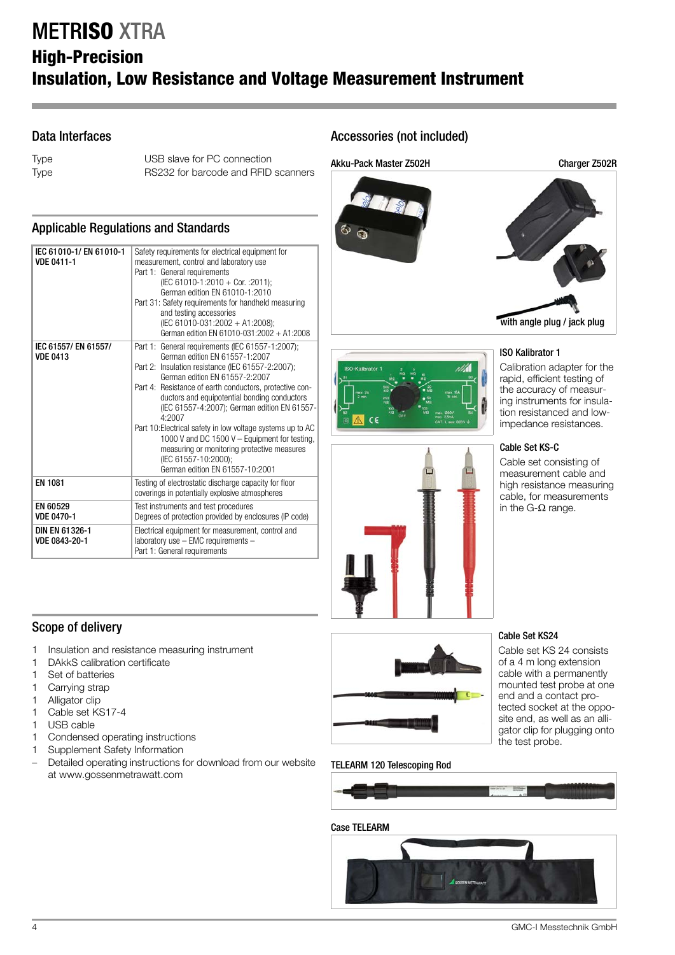# METR**ISO** XTRA **High-Precision Insulation, Low Resistance and Voltage Measurement Instrument**

# Data Interfaces

Type USB slave for PC connection Type RS232 for barcode and RFID scanners

## Applicable Regulations and Standards

| IEC 61010-1/EN 61010-1<br><b>VDE 0411-1</b> | Safety requirements for electrical equipment for<br>measurement, control and laboratory use<br>Part 1: General requirements<br>(IEC 61010-1:2010 + Cor. : 2011);<br>German edition EN 61010-1:2010<br>Part 31: Safety requirements for handheld measuring<br>and testing accessories<br>(IEC 61010-031:2002 + A1:2008);<br>German edition EN 61010-031:2002 + A1:2008                                                                                                                                                                                                   |  |  |
|---------------------------------------------|-------------------------------------------------------------------------------------------------------------------------------------------------------------------------------------------------------------------------------------------------------------------------------------------------------------------------------------------------------------------------------------------------------------------------------------------------------------------------------------------------------------------------------------------------------------------------|--|--|
| IEC 61557/ EN 61557/<br><b>VDE 0413</b>     | Part 1: General requirements (IEC 61557-1:2007);<br>German edition EN 61557-1:2007<br>Part 2: Insulation resistance (IEC 61557-2:2007);<br>German edition EN 61557-2:2007<br>Part 4: Resistance of earth conductors, protective con-<br>ductors and equipotential bonding conductors<br>(IEC 61557-4:2007); German edition EN 61557-<br>4:2007<br>Part 10: Electrical safety in low voltage systems up to AC<br>1000 V and DC 1500 V - Equipment for testing,<br>measuring or monitoring protective measures<br>(IEC 61557-10:2000):<br>German edition EN 61557-10:2001 |  |  |
| <b>EN 1081</b>                              | Testing of electrostatic discharge capacity for floor<br>coverings in potentially explosive atmospheres                                                                                                                                                                                                                                                                                                                                                                                                                                                                 |  |  |
| EN 60529<br><b>VDE 0470-1</b>               | Test instruments and test procedures<br>Degrees of protection provided by enclosures (IP code)                                                                                                                                                                                                                                                                                                                                                                                                                                                                          |  |  |
| DIN EN 61326-1<br>VDE 0843-20-1             | Electrical equipment for measurement, control and<br>laboratory use - EMC requirements -<br>Part 1: General requirements                                                                                                                                                                                                                                                                                                                                                                                                                                                |  |  |

# Accessories (not included)









# ISO Kalibrator 1 Calibration adapter for the rapid, efficient testing of the accuracy of measur-

ing instruments for insulation resistanced and lowimpedance resistances.

### Cable Set KS-C

Cable set consisting of measurement cable and high resistance measuring cable, for measurements in the G-Ω range.

## Scope of delivery

- 1 Insulation and resistance measuring instrument
- 1 DAkkS calibration certificate
- 1 Set of batteries
- 1 Carrying strap
- 1 Alligator clip
- 1 Cable set KS17-4
- 1 USB cable
- 1 Condensed operating instructions
- 1 Supplement Safety Information
- Detailed operating instructions for download from our website at www.gossenmetrawatt.com



### TELEARM 120 Telescoping Rod

#### cable with a permanently mounted test probe at one

Cable Set KS24

end and a contact protected socket at the opposite end, as well as an alligator clip for plugging onto the test probe.

Cable set KS 24 consists of a 4 m long extension

# Case TELEARM

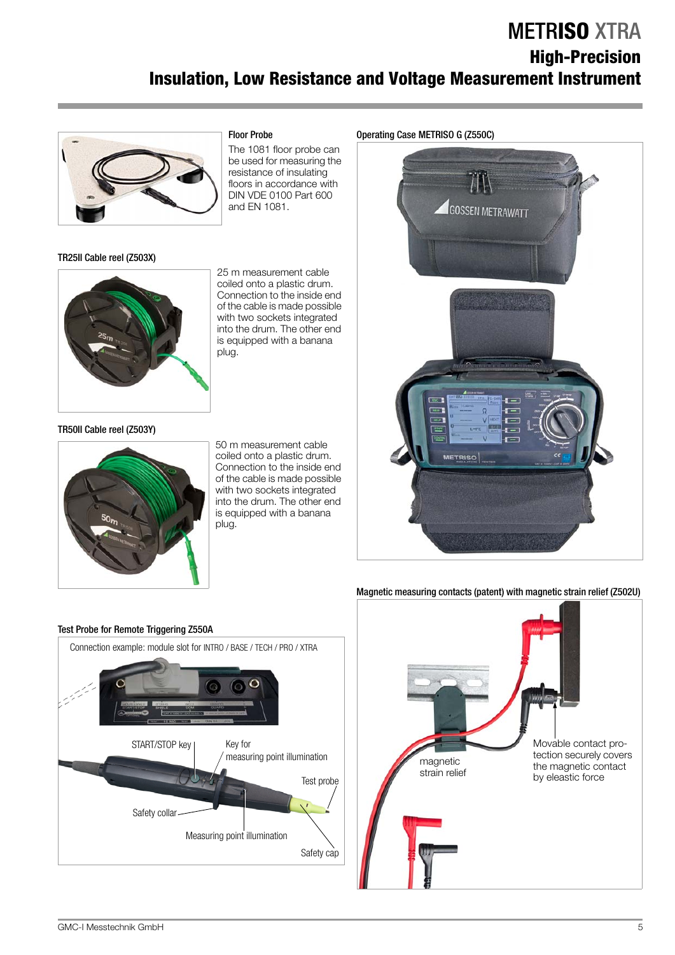# METR**ISO** XTRA **High-Precision Insulation, Low Resistance and Voltage Measurement Instrument**



# TR25II Cable reel (Z503X)

### floors in accordance with DIN VDE 0100 Part 600 and EN 1081.

25 m measurement cable coiled onto a plastic drum. Connection to the inside end of the cable is made possible with two sockets integrated into the drum. The other end is equipped with a banana plug.

### TR50II Cable reel (Z503Y)



50 m measurement cable coiled onto a plastic drum. Connection to the inside end of the cable is made possible with two sockets integrated into the drum. The other end is equipped with a banana plug.



### Magnetic measuring contacts (patent) with magnetic strain relief (Z502U)





### Operating Case METRISO G (Z550C)